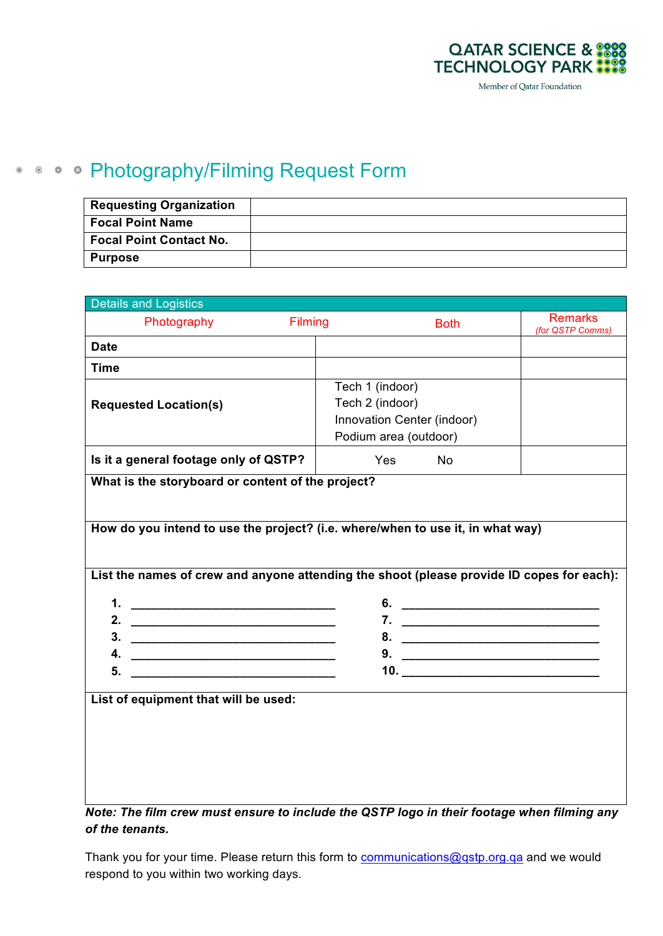

## **• • • • Photography/Filming Request Form**

| <b>Requesting Organization</b> |  |
|--------------------------------|--|
| <b>Focal Point Name</b>        |  |
| <b>Focal Point Contact No.</b> |  |
| <b>Purpose</b>                 |  |

| <b>Remarks</b><br>$\Box$ Photography<br>$\Box$ Filming<br>$\Box$ Both<br>(for QSTP Comms)<br><b>Date</b><br><b>Time</b><br>$\Box$ Tech 1 (indoor)<br>$\Box$ Tech 2 (indoor)<br><b>Requested Location(s)</b><br>□ Innovation Center (indoor)<br>$\Box$ Podium area (outdoor)<br>Is it a general footage only of QSTP?<br>$\Box$ No<br>$\Box$ Yes<br>What is the storyboard or content of the project?<br>How do you intend to use the project? (i.e. where/when to use it, in what way)<br>List the names of crew and anyone attending the shoot (please provide ID copes for each):<br>3.<br>4.<br><u> 1989 - Johann Harry Harry Harry Harry Harry Harry Harry Harry Harry Harry Harry Harry Harry Harry Harry Harry</u><br>5.<br><u> 1989 - Johann Barbara, martin amerikan basar dan basa dan basa dalam basa dalam basa dalam basa dalam basa da</u><br>List of equipment that will be used: | <b>Details and Logistics</b> |  |  |  |  |  |  |  |  |
|-------------------------------------------------------------------------------------------------------------------------------------------------------------------------------------------------------------------------------------------------------------------------------------------------------------------------------------------------------------------------------------------------------------------------------------------------------------------------------------------------------------------------------------------------------------------------------------------------------------------------------------------------------------------------------------------------------------------------------------------------------------------------------------------------------------------------------------------------------------------------------------------------|------------------------------|--|--|--|--|--|--|--|--|
|                                                                                                                                                                                                                                                                                                                                                                                                                                                                                                                                                                                                                                                                                                                                                                                                                                                                                                 |                              |  |  |  |  |  |  |  |  |
|                                                                                                                                                                                                                                                                                                                                                                                                                                                                                                                                                                                                                                                                                                                                                                                                                                                                                                 |                              |  |  |  |  |  |  |  |  |
|                                                                                                                                                                                                                                                                                                                                                                                                                                                                                                                                                                                                                                                                                                                                                                                                                                                                                                 |                              |  |  |  |  |  |  |  |  |
|                                                                                                                                                                                                                                                                                                                                                                                                                                                                                                                                                                                                                                                                                                                                                                                                                                                                                                 |                              |  |  |  |  |  |  |  |  |
|                                                                                                                                                                                                                                                                                                                                                                                                                                                                                                                                                                                                                                                                                                                                                                                                                                                                                                 |                              |  |  |  |  |  |  |  |  |
|                                                                                                                                                                                                                                                                                                                                                                                                                                                                                                                                                                                                                                                                                                                                                                                                                                                                                                 |                              |  |  |  |  |  |  |  |  |
|                                                                                                                                                                                                                                                                                                                                                                                                                                                                                                                                                                                                                                                                                                                                                                                                                                                                                                 |                              |  |  |  |  |  |  |  |  |
|                                                                                                                                                                                                                                                                                                                                                                                                                                                                                                                                                                                                                                                                                                                                                                                                                                                                                                 |                              |  |  |  |  |  |  |  |  |
|                                                                                                                                                                                                                                                                                                                                                                                                                                                                                                                                                                                                                                                                                                                                                                                                                                                                                                 |                              |  |  |  |  |  |  |  |  |
|                                                                                                                                                                                                                                                                                                                                                                                                                                                                                                                                                                                                                                                                                                                                                                                                                                                                                                 |                              |  |  |  |  |  |  |  |  |
|                                                                                                                                                                                                                                                                                                                                                                                                                                                                                                                                                                                                                                                                                                                                                                                                                                                                                                 |                              |  |  |  |  |  |  |  |  |
|                                                                                                                                                                                                                                                                                                                                                                                                                                                                                                                                                                                                                                                                                                                                                                                                                                                                                                 |                              |  |  |  |  |  |  |  |  |
|                                                                                                                                                                                                                                                                                                                                                                                                                                                                                                                                                                                                                                                                                                                                                                                                                                                                                                 |                              |  |  |  |  |  |  |  |  |
|                                                                                                                                                                                                                                                                                                                                                                                                                                                                                                                                                                                                                                                                                                                                                                                                                                                                                                 |                              |  |  |  |  |  |  |  |  |
|                                                                                                                                                                                                                                                                                                                                                                                                                                                                                                                                                                                                                                                                                                                                                                                                                                                                                                 |                              |  |  |  |  |  |  |  |  |
|                                                                                                                                                                                                                                                                                                                                                                                                                                                                                                                                                                                                                                                                                                                                                                                                                                                                                                 |                              |  |  |  |  |  |  |  |  |
|                                                                                                                                                                                                                                                                                                                                                                                                                                                                                                                                                                                                                                                                                                                                                                                                                                                                                                 |                              |  |  |  |  |  |  |  |  |
|                                                                                                                                                                                                                                                                                                                                                                                                                                                                                                                                                                                                                                                                                                                                                                                                                                                                                                 |                              |  |  |  |  |  |  |  |  |
|                                                                                                                                                                                                                                                                                                                                                                                                                                                                                                                                                                                                                                                                                                                                                                                                                                                                                                 |                              |  |  |  |  |  |  |  |  |
|                                                                                                                                                                                                                                                                                                                                                                                                                                                                                                                                                                                                                                                                                                                                                                                                                                                                                                 |                              |  |  |  |  |  |  |  |  |

*Note: The film crew must ensure to include the QSTP logo in their footage when filming any of the tenants.*

Thank you for your time. Please return this form to communications@qstp.org.qa and we would respond to you within two working days.